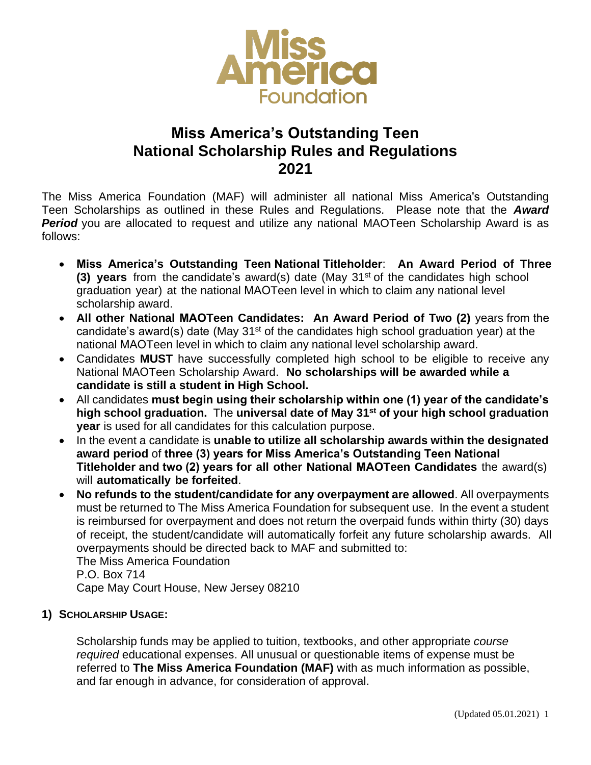

# **Miss America's Outstanding Teen National Scholarship Rules and Regulations 2021**

The Miss America Foundation (MAF) will administer all national Miss America's Outstanding Teen Scholarships as outlined in these Rules and Regulations. Please note that the *Award*  **Period** you are allocated to request and utilize any national MAOTeen Scholarship Award is as follows:

- **Miss America's Outstanding Teen National Titleholder**: **An Award Period of Three (3) years** from the candidate's award(s) date (May 31<sup>st</sup> of the candidates high school graduation year) at the national MAOTeen level in which to claim any national level scholarship award.
- **All other National MAOTeen Candidates: An Award Period of Two (2)** years from the candidate's award(s) date (May  $31<sup>st</sup>$  of the candidates high school graduation year) at the national MAOTeen level in which to claim any national level scholarship award.
- Candidates **MUST** have successfully completed high school to be eligible to receive any National MAOTeen Scholarship Award. **No scholarships will be awarded while a candidate is still a student in High School.**
- All candidates **must begin using their scholarship within one (1) year of the candidate's high school graduation.** The **universal date of May 31st of your high school graduation year** is used for all candidates for this calculation purpose.
- In the event a candidate is **unable to utilize all scholarship awards within the designated award period** of **three (3) years for Miss America's Outstanding Teen National Titleholder and two (2) years for all other National MAOTeen Candidates** the award(s) will **automatically be forfeited**.
- **No refunds to the student/candidate for any overpayment are allowed**. All overpayments must be returned to The Miss America Foundation for subsequent use. In the event a student is reimbursed for overpayment and does not return the overpaid funds within thirty (30) days of receipt, the student/candidate will automatically forfeit any future scholarship awards. All overpayments should be directed back to MAF and submitted to:

The Miss America Foundation P.O. Box 714 Cape May Court House, New Jersey 08210

## **1) SCHOLARSHIP USAGE:**

Scholarship funds may be applied to tuition, textbooks, and other appropriate *course required* educational expenses. All unusual or questionable items of expense must be referred to **The Miss America Foundation (MAF)** with as much information as possible, and far enough in advance, for consideration of approval.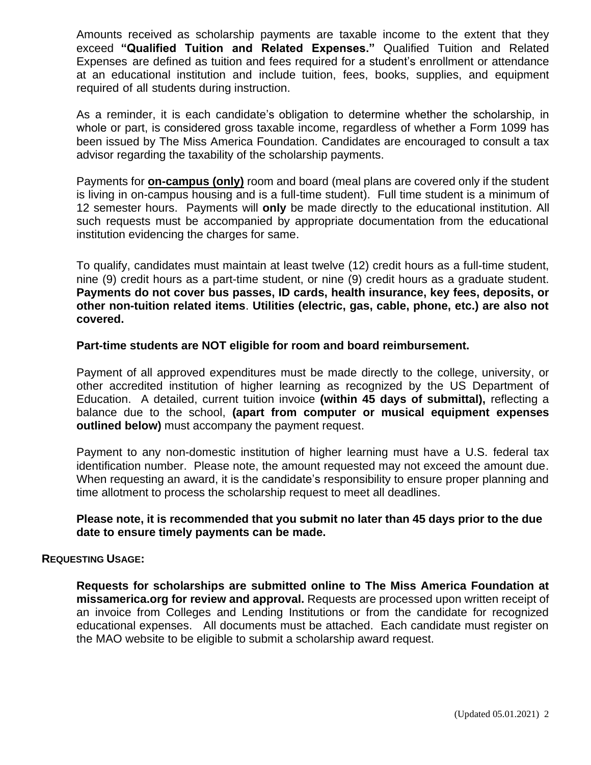Amounts received as scholarship payments are taxable income to the extent that they exceed **"Qualified Tuition and Related Expenses."** Qualified Tuition and Related Expenses are defined as tuition and fees required for a student's enrollment or attendance at an educational institution and include tuition, fees, books, supplies, and equipment required of all students during instruction.

As a reminder, it is each candidate's obligation to determine whether the scholarship, in whole or part, is considered gross taxable income, regardless of whether a Form 1099 has been issued by The Miss America Foundation. Candidates are encouraged to consult a tax advisor regarding the taxability of the scholarship payments.

Payments for **on-campus (only)** room and board (meal plans are covered only if the student is living in on-campus housing and is a full-time student). Full time student is a minimum of 12 semester hours. Payments will **only** be made directly to the educational institution. All such requests must be accompanied by appropriate documentation from the educational institution evidencing the charges for same.

To qualify, candidates must maintain at least twelve (12) credit hours as a full-time student, nine (9) credit hours as a part-time student, or nine (9) credit hours as a graduate student. **Payments do not cover bus passes, ID cards, health insurance, key fees, deposits, or other non-tuition related items**. **Utilities (electric, gas, cable, phone, etc.) are also not covered.** 

**Part-time students are NOT eligible for room and board reimbursement.** 

Payment of all approved expenditures must be made directly to the college, university, or other accredited institution of higher learning as recognized by the US Department of Education. A detailed, current tuition invoice **(within 45 days of submittal),** reflecting a balance due to the school, **(apart from computer or musical equipment expenses outlined below)** must accompany the payment request.

Payment to any non-domestic institution of higher learning must have a U.S. federal tax identification number. Please note, the amount requested may not exceed the amount due. When requesting an award, it is the candidate's responsibility to ensure proper planning and time allotment to process the scholarship request to meet all deadlines.

#### **Please note, it is recommended that you submit no later than 45 days prior to the due date to ensure timely payments can be made.**

#### **REQUESTING USAGE:**

**Requests for scholarships are submitted online to The Miss America Foundation at missamerica.org for review and approval.** Requests are processed upon written receipt of an invoice from Colleges and Lending Institutions or from the candidate for recognized educational expenses. All documents must be attached. Each candidate must register on the MAO website to be eligible to submit a scholarship award request.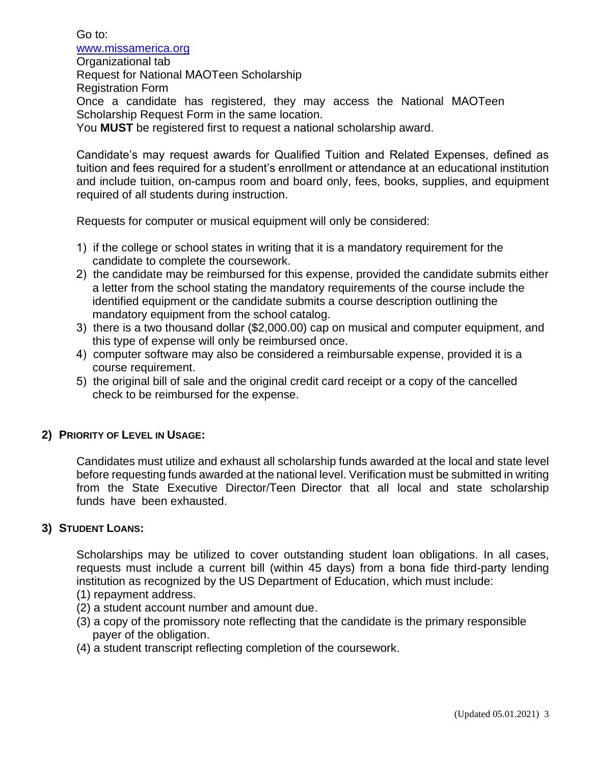Go to: [www.missamerica.org](http://www.missamerica.org/) Organizational tab Request for National MAOTeen Scholarship Registration Form Once a candidate has registered, they may access the National MAOTeen Scholarship Request Form in the same location. You **MUST** be registered first to request a national scholarship award.

Candidate's may request awards for Qualified Tuition and Related Expenses, defined as tuition and fees required for a student's enrollment or attendance at an educational institution and include tuition, on-campus room and board only, fees, books, supplies, and equipment required of all students during instruction.

Requests for computer or musical equipment will only be considered:

- 1) if the college or school states in writing that it is a mandatory requirement for the candidate to complete the coursework.
- 2) the candidate may be reimbursed for this expense, provided the candidate submits either a letter from the school stating the mandatory requirements of the course include the identified equipment or the candidate submits a course description outlining the mandatory equipment from the school catalog.
- 3) there is a two thousand dollar (\$2,000.00) cap on musical and computer equipment, and this type of expense will only be reimbursed once.
- 4) computer software may also be considered a reimbursable expense, provided it is a course requirement.
- 5) the original bill of sale and the original credit card receipt or a copy of the cancelled check to be reimbursed for the expense.

#### **2) PRIORITY OF LEVEL IN USAGE:**

Candidates must utilize and exhaust all scholarship funds awarded at the local and state level before requesting funds awarded at the national level. Verification must be submitted in writing from the State Executive Director/Teen Director that all local and state scholarship funds have been exhausted.

#### **3) STUDENT LOANS:**

Scholarships may be utilized to cover outstanding student loan obligations. In all cases, requests must include a current bill (within 45 days) from a bona fide third-party lending institution as recognized by the US Department of Education, which must include:

- (1) repayment address.
- (2) a student account number and amount due.
- (3) a copy of the promissory note reflecting that the candidate is the primary responsible payer of the obligation.
- (4) a student transcript reflecting completion of the coursework.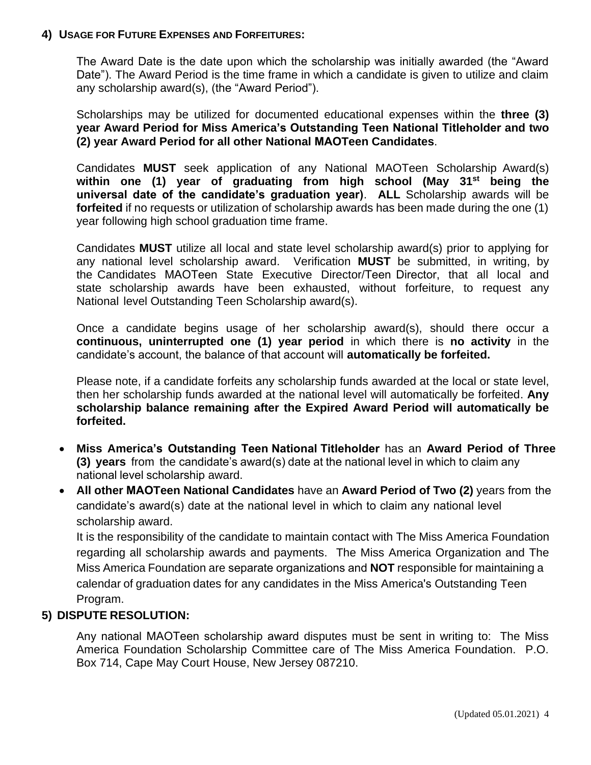#### **4) USAGE FOR FUTURE EXPENSES AND FORFEITURES:**

The Award Date is the date upon which the scholarship was initially awarded (the "Award Date"). The Award Period is the time frame in which a candidate is given to utilize and claim any scholarship award(s), (the "Award Period").

Scholarships may be utilized for documented educational expenses within the **three (3) year Award Period for Miss America's Outstanding Teen National Titleholder and two (2) year Award Period for all other National MAOTeen Candidates**.

Candidates **MUST** seek application of any National MAOTeen Scholarship Award(s) **within one (1) year of graduating from high school (May 31st being the universal date of the candidate's graduation year)**. **ALL** Scholarship awards will be **forfeited** if no requests or utilization of scholarship awards has been made during the one (1) year following high school graduation time frame.

Candidates **MUST** utilize all local and state level scholarship award(s) prior to applying for any national level scholarship award. Verification **MUST** be submitted, in writing, by the Candidates MAOTeen State Executive Director/Teen Director, that all local and state scholarship awards have been exhausted, without forfeiture, to request any National level Outstanding Teen Scholarship award(s).

Once a candidate begins usage of her scholarship award(s), should there occur a **continuous, uninterrupted one (1) year period** in which there is **no activity** in the candidate's account, the balance of that account will **automatically be forfeited.**

Please note, if a candidate forfeits any scholarship funds awarded at the local or state level, then her scholarship funds awarded at the national level will automatically be forfeited. **Any scholarship balance remaining after the Expired Award Period will automatically be forfeited.**

- **Miss America's Outstanding Teen National Titleholder** has an **Award Period of Three (3) years** from the candidate's award(s) date at the national level in which to claim any national level scholarship award.
- **All other MAOTeen National Candidates** have an **Award Period of Two (2)** years from the candidate's award(s) date at the national level in which to claim any national level scholarship award.

It is the responsibility of the candidate to maintain contact with The Miss America Foundation regarding all scholarship awards and payments. The Miss America Organization and The Miss America Foundation are separate organizations and **NOT** responsible for maintaining a calendar of graduation dates for any candidates in the Miss America's Outstanding Teen Program.

## **5) DISPUTE RESOLUTION:**

Any national MAOTeen scholarship award disputes must be sent in writing to: The Miss America Foundation Scholarship Committee care of The Miss America Foundation. P.O. Box 714, Cape May Court House, New Jersey 087210.